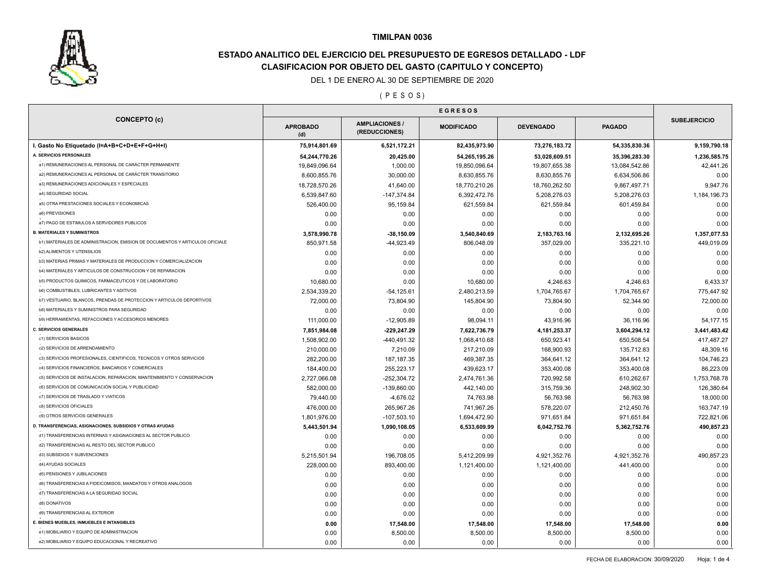

# **ESTADO ANALITICO DEL EJERCICIO DEL PRESUPUESTO DE EGRESOS DETALLADO - LDF CLASIFICACION POR OBJETO DEL GASTO (CAPITULO Y CONCEPTO)**

## DEL 1 DE ENERO AL 30 DE SEPTIEMBRE DE 2020

#### ( P E S O S )

| <b>CONCEPTO (c)</b>                                                          | <b>APROBADO</b><br>(d) | <b>AMPLIACIONES /</b><br>(REDUCCIONES) | <b>MODIFICADO</b>    | <b>DEVENGADO</b>     | <b>PAGADO</b> | <b>SUBEJERCICIO</b> |
|------------------------------------------------------------------------------|------------------------|----------------------------------------|----------------------|----------------------|---------------|---------------------|
| I. Gasto No Etiquetado (I=A+B+C+D+E+F+G+H+I)                                 | 75,914,801.69          | 6,521,172.21                           | 82,435,973.90        | 73,276,183.72        | 54,335,830.36 | 9,159,790.18        |
| A. SERVICIOS PERSONALES                                                      | 54,244,770.26          | 20,425.00                              | 54,265,195.26        | 53,028,609.51        | 35,396,283.30 | 1,236,585.75        |
| a1) REMUNERACIONES AL PERSONAL DE CARÁCTER PERMANENTE                        | 19,849,096.64          | 1,000.00                               | 19,850,096.64        | 19,807,655.38        | 13,084,542.86 | 42,441.26           |
| a2) REMUNERACIONES AL PERSONAL DE CARÁCTER TRANSITORIO                       | 8,600,855.76           | 30,000.00                              | 8,630,855.76         | 8,630,855.76         | 6,634,506.86  | 0.00                |
| a3) REMUNERACIONES ADICIONALES Y ESPECIALES                                  | 18,728,570.26          | 41,640.00                              | 18,770,210.26        | 18,760,262.50        | 9,867,497.71  | 9,947.76            |
| a4) SEGURIDAD SOCIAL                                                         | 6,539,847.60           | $-147,374.84$                          | 6,392,472.76         | 5,208,276.03         | 5,208,276.03  | 1,184,196.73        |
| a5) OTRA PRESTACIONES SOCIALES Y ECONOMICAS                                  | 526,400.00             | 95,159.84                              | 621,559.84           | 621,559.84           | 601,459.84    | 0.00                |
| a6) PREVISIONES                                                              | 0.00                   | 0.00                                   | 0.00                 | 0.00                 | 0.00          | 0.00                |
| a7) PAGO DE ESTIMULOS A SERVIDORES PUBLICOS                                  | 0.00                   | 0.00                                   | 0.00                 | 0.00                 | 0.00          | 0.00                |
| <b>B. MATERIALES Y SUMINISTROS</b>                                           | 3,578,990.78           | $-38,150.09$                           | 3,540,840.69         | 2,183,763.16         | 2,132,695.26  | 1,357,077.53        |
| b1) MATERIALES DE ADMINISTRACION, EMISION DE DOCUMENTOS Y ARTICULOS OFICIALE | 850,971.58             | -44,923.49                             | 806,048.09           | 357,029.00           | 335,221.10    | 449,019.09          |
| b2) ALIMENTOS Y UTENSILIOS                                                   | 0.00                   | 0.00                                   | 0.00                 | 0.00                 | 0.00          | 0.00                |
| b3) MATERIAS PRIMAS Y MATERIALES DE PRODUCCION Y COMERCIALIZACION            | 0.00                   | 0.00                                   | 0.00                 | 0.00                 | 0.00          | 0.00                |
| b4) MATERIALES Y ARTICULOS DE CONSTRUCCION Y DE REPARACION                   | 0.00                   | 0.00                                   | 0.00                 | 0.00                 | 0.00          | 0.00                |
| b5) PRODUCTOS QUIMICOS, FARMACEUTICOS Y DE LABORATORIO                       | 10,680.00              | 0.00                                   | 10,680.00            | 4,246.63             | 4,246.63      | 6,433.37            |
| b6) COMBUSTIBLES, LUBRICANTES Y ADITIVOS                                     | 2,534,339.20           | $-54, 125.61$                          | 2,480,213.59         | 1,704,765.67         | 1,704,765.67  | 775,447.92          |
| b7) VESTUARIO, BLANCOS, PRENDAS DE PROTECCION Y ARTICULOS DEPORTIVOS         | 72,000.00              | 73,804.90                              | 145,804.90           | 73,804.90            | 52,344.90     | 72,000.00           |
| <b>b8) MATERIALES Y SUMINISTROS PARA SEGURIDAD</b>                           | 0.00                   | 0.00                                   | 0.00                 | 0.00                 | 0.00          | 0.00                |
| b9) HERRAMIENTAS, REFACCIONES Y ACCESORIOS MENORES                           | 111,000.00             | $-12,905.89$                           | 98,094.11            | 43,916.96            | 36,116.96     | 54,177.15           |
| <b>C. SERVICIOS GENERALES</b>                                                | 7,851,984.08           | -229,247.29                            | 7,622,736.79         | 4,181,253.37         | 3,604,294.12  | 3,441,483.42        |
| c1) SERVICIOS BASICOS                                                        | 1,508,902.00           | -440,491.32                            | 1,068,410.68         | 650,923.41           | 650,508.54    | 417,487.27          |
| c2) SERVICIOS DE ARRENDAMIENTO                                               | 210,000.00             | 7,210.09                               | 217,210.09           | 168,900.93           | 135,712.83    | 48,309.16           |
| c3) SERVICIOS PROFESIONALES, CIENTIFICOS, TECNICOS Y OTROS SERVICIOS         | 282,200.00             | 187, 187. 35                           | 469,387.35           | 364,641.12           | 364,641.12    | 104,746.23          |
| c4) SERVICIOS FINANCIEROS, BANCARIOS Y COMERCIALES                           | 184,400.00             | 255,223.17                             | 439,623.17           | 353,400.08           | 353,400.08    | 86,223.09           |
| c5) SERVICIOS DE INSTALACION, REPARACION, MANTENIMIENTO Y CONSERVACION       | 2,727,066.08           | $-252,304.72$                          | 2,474,761.36         | 720,992.58           | 610,262.67    | 1,753,768.78        |
| c6) SERVICIOS DE COMUNICACIÓN SOCIAL Y PUBLICIDAD                            | 582,000.00             | $-139,860.00$                          | 442,140.00           | 315,759.36           | 248,902.30    | 126,380.64          |
| c7) SERVICIOS DE TRASLADO Y VIATICOS                                         | 79,440.00              | $-4,676.02$                            | 74,763.98            | 56,763.98            | 56,763.98     | 18,000.00           |
| c8) SERVICIOS OFICIALES                                                      | 476,000.00             | 265,967.26                             | 741,967.26           | 578,220.07           | 212,450.76    | 163,747.19          |
| c9) OTROS SERVICIOS GENERALES                                                | 1,801,976.00           | $-107,503.10$                          | 1,694,472.90         | 971,651.84           | 971,651.84    | 722,821.06          |
| D. TRANSFERENCIAS, ASIGNACIONES, SUBSIDIOS Y OTRAS AYUDAS                    | 5,443,501.94           | 1,090,108.05                           | 6,533,609.99         | 6,042,752.76         | 5,362,752.76  | 490,857.23          |
| d1) TRANSFERENCIAS INTERNAS Y ASIGNACIONES AL SECTOR PUBLICO                 | 0.00                   | 0.00                                   | 0.00                 | 0.00                 | 0.00          | 0.00                |
| d2) TRANSFERENCIAS AL RESTO DEL SECTOR PUBLICO                               |                        | 0.00                                   | 0.00                 | 0.00                 | 0.00          | 0.00                |
| d3) SUBSIDIOS Y SUBVENCIONES                                                 | 0.00<br>5,215,501.94   | 196,708.05                             | 5,412,209.99         | 4,921,352.76         | 4,921,352.76  | 490,857.23          |
| d4) AYUDAS SOCIALES                                                          | 228,000.00             | 893,400.00                             |                      |                      | 441,400.00    | 0.00                |
| d5) PENSIONES Y JUBILACIONES                                                 | 0.00                   | 0.00                                   | 1,121,400.00<br>0.00 | 1,121,400.00<br>0.00 | 0.00          | 0.00                |
| d6) TRANSFERENCIAS A FIDEICOMISOS, MANDATOS Y OTROS ANALOGOS                 | 0.00                   | 0.00                                   | 0.00                 | 0.00                 | 0.00          | 0.00                |
| d7) TRANSFERENCIAS A LA SEGURIDAD SOCIAL                                     | 0.00                   | 0.00                                   | 0.00                 | 0.00                 | 0.00          | 0.00                |
| d8) DONATIVOS                                                                |                        |                                        | 0.00                 |                      | 0.00          |                     |
| d9) TRANSFERENCIAS AL EXTERIOR                                               | 0.00                   | 0.00                                   |                      | 0.00                 |               | 0.00                |
| E. BIENES MUEBLES, INMUEBLES E INTANGIBLES                                   | 0.00                   | 0.00                                   | 0.00                 | 0.00                 | 0.00          | 0.00                |
| e1) MOBILIARIO Y EQUIPO DE ADMINISTRACION                                    | 0.00                   | 17,548.00                              | 17,548.00            | 17,548.00            | 17,548.00     | 0.00                |
| e2) MOBILIARIO Y EQUIPO EDUCACIONAL Y RECREATIVO                             | 0.00                   | 8,500.00                               | 8,500.00             | 8,500.00             | 8,500.00      | 0.00                |
|                                                                              | 0.00                   | 0.00                                   | 0.00                 | 0.00                 | 0.00          | 0.00                |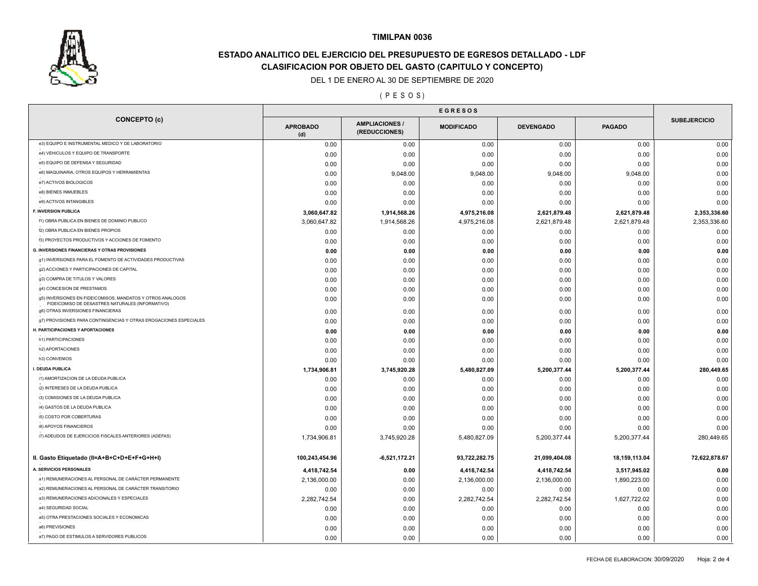

# **ESTADO ANALITICO DEL EJERCICIO DEL PRESUPUESTO DE EGRESOS DETALLADO - LDF CLASIFICACION POR OBJETO DEL GASTO (CAPITULO Y CONCEPTO)**

## DEL 1 DE ENERO AL 30 DE SEPTIEMBRE DE 2020

#### ( P E S O S )

|                                                                                                                | <b>EGRESOS</b>         |                                      |                   |                  |               |                     |  |
|----------------------------------------------------------------------------------------------------------------|------------------------|--------------------------------------|-------------------|------------------|---------------|---------------------|--|
| <b>CONCEPTO (c)</b>                                                                                            | <b>APROBADO</b><br>(d) | <b>AMPLIACIONES</b><br>(REDUCCIONES) | <b>MODIFICADO</b> | <b>DEVENGADO</b> | <b>PAGADO</b> | <b>SUBEJERCICIO</b> |  |
| e3) EQUIPO E INSTRUMENTAL MEDICO Y DE LABORATORIO                                                              | 0.00                   | 0.00                                 | 0.00              | 0.00             | 0.00          | 0.00                |  |
| e4) VEHICULOS Y EQUIPO DE TRANSPORTE                                                                           | 0.00                   | 0.00                                 | 0.00              | 0.00             | 0.00          | 0.00                |  |
| e5) EQUIPO DE DEFENSA Y SEGURIDAD                                                                              | 0.00                   | 0.00                                 | 0.00              | 0.00             | 0.00          | 0.00                |  |
| e6) MAQUINARIA, OTROS EQUIPOS Y HERRAMIENTAS                                                                   | 0.00                   | 9,048.00                             | 9,048.00          | 9,048.00         | 9,048.00      | 0.00                |  |
| e7) ACTIVOS BIOLOGICOS                                                                                         | 0.00                   | 0.00                                 | 0.00              | 0.00             | 0.00          | 0.00                |  |
| e8) BIENES INMUEBLES                                                                                           | 0.00                   | 0.00                                 | 0.00              | 0.00             | 0.00          | 0.00                |  |
| e9) ACTIVOS INTANGIBLES                                                                                        | 0.00                   | 0.00                                 | 0.00              | 0.00             | 0.00          | 0.00                |  |
| F. INVERSION PUBLICA                                                                                           | 3,060,647.82           | 1,914,568.26                         | 4,975,216.08      | 2,621,879.48     | 2,621,879.48  | 2,353,336.60        |  |
| f1) OBRA PUBLICA EN BIENES DE DOMINIO PUBLICO                                                                  | 3,060,647.82           | 1,914,568.26                         | 4,975,216.08      | 2,621,879.48     | 2,621,879.48  | 2,353,336.60        |  |
| f2) OBRA PUBLICA EN BIENES PROPIOS                                                                             | 0.00                   | 0.00                                 | 0.00              | 0.00             | 0.00          | 0.00                |  |
| f3) PROYECTOS PRODUCTIVOS Y ACCIONES DE FOMENTO                                                                | 0.00                   | 0.00                                 | 0.00              | 0.00             | 0.00          | 0.00                |  |
| <b>G. INVERSIONES FINANCIERAS Y OTRAS PROVISIONES</b>                                                          | 0.00                   | 0.00                                 | 0.00              | 0.00             | 0.00          | 0.00                |  |
| g1) INVERSIONES PARA EL FOMENTO DE ACTIVIDADES PRODUCTIVAS                                                     | 0.00                   | 0.00                                 | 0.00              | 0.00             | 0.00          | 0.00                |  |
| g2) ACCIONES Y PARTICIPACIONES DE CAPITAL                                                                      | 0.00                   | 0.00                                 | 0.00              | 0.00             | 0.00          | 0.00                |  |
| g3) COMPRA DE TITULOS Y VALORES                                                                                | 0.00                   | 0.00                                 | 0.00              | 0.00             | 0.00          | 0.00                |  |
| g4) CONCESION DE PRESTAMOS                                                                                     | 0.00                   | 0.00                                 | 0.00              | 0.00             | 0.00          | 0.00                |  |
| g5) INVERSIONES EN FIDEICOMISOS, MANDATOS Y OTROS ANALOGOS<br>FIDEICOMISO DE DESASTRES NATURALES (INFORMATIVO) | 0.00                   | 0.00                                 | 0.00              | 0.00             | 0.00          | 0.00                |  |
| g6) OTRAS INVERSIONES FINANCIERAS                                                                              | 0.00                   | 0.00                                 | 0.00              | 0.00             | 0.00          | 0.00                |  |
| g7) PROVISIONES PARA CONTINGENCIAS Y OTRAS EROGACIONES ESPECIALES                                              | 0.00                   | 0.00                                 | 0.00              | 0.00             | 0.00          | 0.00                |  |
| H. PARTICIPACIONES Y APORTACIONES                                                                              | 0.00                   | 0.00                                 | 0.00              | 0.00             | 0.00          | 0.00                |  |
| h1) PARTICIPACIONES                                                                                            | 0.00                   | 0.00                                 | 0.00              | 0.00             | 0.00          | 0.00                |  |
| h2) APORTACIONES                                                                                               | 0.00                   | 0.00                                 | 0.00              | 0.00             | 0.00          | 0.00                |  |
| h3) CONVENIOS                                                                                                  | 0.00                   | 0.00                                 | 0.00              | 0.00             | 0.00          | 0.00                |  |
| I. DEUDA PUBLICA                                                                                               | 1,734,906.81           | 3,745,920.28                         | 5,480,827.09      | 5,200,377.44     | 5,200,377.44  | 280,449.65          |  |
| i1) AMORTIZACION DE LA DEUDA PUBLICA                                                                           | 0.00                   | 0.00                                 | 0.00              | 0.00             | 0.00          | 0.00                |  |
| i2) INTERESES DE LA DEUDA PUBLICA                                                                              | 0.00                   | 0.00                                 | 0.00              | 0.00             | 0.00          | 0.00                |  |
| i3) COMISIONES DE LA DEUDA PUBLICA                                                                             | 0.00                   | 0.00                                 | 0.00              | 0.00             | 0.00          | 0.00                |  |
| i4) GASTOS DE LA DEUDA PUBLICA                                                                                 | 0.00                   | 0.00                                 | 0.00              | 0.00             | 0.00          | 0.00                |  |
| i5) COSTO POR COBERTURAS                                                                                       | 0.00                   | 0.00                                 | 0.00              | 0.00             | 0.00          | 0.00                |  |
| i6) APOYOS FINANCIEROS                                                                                         | 0.00                   | 0.00                                 | 0.00              | 0.00             | 0.00          | 0.00                |  |
| i7) ADEUDOS DE EJERCICIOS FISCALES ANTERIORES (ADEFAS)                                                         | 1,734,906.81           | 3,745,920.28                         | 5,480,827.09      | 5,200,377.44     | 5,200,377.44  | 280,449.65          |  |
| II. Gasto Etiquetado (II=A+B+C+D+E+F+G+H+I)                                                                    | 100,243,454.96         | $-6,521,172.21$                      | 93,722,282.75     | 21,099,404.08    | 18,159,113.04 | 72,622,878.67       |  |
| A. SERVICIOS PERSONALES                                                                                        | 4,418,742.54           | 0.00                                 | 4,418,742.54      | 4,418,742.54     | 3,517,945.02  | 0.00                |  |
| a1) REMUNERACIONES AL PERSONAL DE CARÁCTER PERMANENTE                                                          | 2,136,000.00           | 0.00                                 | 2,136,000.00      | 2,136,000.00     | 1,890,223.00  | 0.00                |  |
| a2) REMUNERACIONES AL PERSONAL DE CARÁCTER TRANSITORIO                                                         | 0.00                   | 0.00                                 | 0.00              | 0.00             | 0.00          | 0.00                |  |
| a3) REMUNERACIONES ADICIONALES Y ESPECIALES                                                                    | 2,282,742.54           | 0.00                                 | 2,282,742.54      | 2,282,742.54     | 1,627,722.02  | 0.00                |  |
| a4) SEGURIDAD SOCIAL                                                                                           | 0.00                   | 0.00                                 | 0.00              | 0.00             | 0.00          | 0.00                |  |
| a5) OTRA PRESTACIONES SOCIALES Y ECONOMICAS                                                                    | 0.00                   | 0.00                                 | 0.00              | 0.00             | 0.00          | 0.00                |  |
| a6) PREVISIONES                                                                                                | 0.00                   | 0.00                                 | 0.00              | 0.00             | 0.00          | 0.00                |  |
| a7) PAGO DE ESTIMULOS A SERVIDORES PUBLICOS                                                                    | 0.00                   | 0.00                                 | 0.00              | 0.00             | 0.00          | 0.00                |  |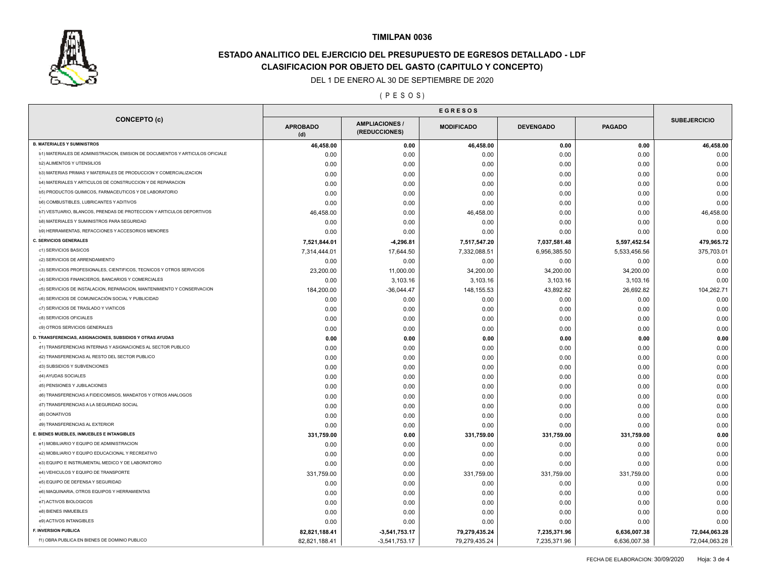

# **ESTADO ANALITICO DEL EJERCICIO DEL PRESUPUESTO DE EGRESOS DETALLADO - LDF CLASIFICACION POR OBJETO DEL GASTO (CAPITULO Y CONCEPTO)**

## DEL 1 DE ENERO AL 30 DE SEPTIEMBRE DE 2020

( P E S O S )

| <b>SUBEJERCICIO</b><br><b>AMPLIACIONES</b><br><b>APROBADO</b><br><b>MODIFICADO</b><br><b>DEVENGADO</b><br><b>PAGADO</b><br>(REDUCCIONES)<br>(d)<br>46,458.00<br>0.00<br>46,458.00<br>0.00<br>0.00<br>b1) MATERIALES DE ADMINISTRACION, EMISION DE DOCUMENTOS Y ARTICULOS OFICIALE<br>0.00<br>0.00<br>0.00<br>0.00<br>0.00<br><b>b2) ALIMENTOS Y UTENSILIOS</b><br>0.00<br>0.00<br>0.00<br>0.00<br>0.00<br>b3) MATERIAS PRIMAS Y MATERIALES DE PRODUCCION Y COMERCIALIZACION<br>0.00<br>0.00<br>0.00<br>0.00<br>0.00<br>b4) MATERIALES Y ARTICULOS DE CONSTRUCCION Y DE REPARACION<br>0.00<br>0.00<br>0.00<br>0.00<br>0.00<br>b5) PRODUCTOS QUIMICOS, FARMACEUTICOS Y DE LABORATORIO<br>0.00<br>0.00<br>0.00<br>0.00<br>0.00<br><b>b6) COMBUSTIBLES, LUBRICANTES Y ADITIVOS</b><br>0.00<br>0.00<br>0.00<br>0.00<br>0.00<br>b7) VESTUARIO, BLANCOS, PRENDAS DE PROTECCION Y ARTICULOS DEPORTIVOS<br>46,458.00<br>46,458.00<br>0.00<br>0.00<br>0.00<br>b8) MATERIALES Y SUMINISTROS PARA SEGURIDAD<br>0.00<br>0.00<br>0.00<br>0.00<br>0.00<br>b9) HERRAMIENTAS, REFACCIONES Y ACCESORIOS MENORES<br>0.00<br>0.00<br>0.00<br>0.00<br>0.00<br>7,517,547.20<br>7,037,581.48<br>5,597,452.54<br>7,521,844.01<br>4,296.81<br>c1) SERVICIOS BASICOS<br>7,314,444.01<br>17,644.50<br>7,332,088.51<br>6,956,385.50<br>5,533,456.56<br>c2) SERVICIOS DE ARRENDAMIENTO<br>0.00<br>0.00<br>0.00<br>0.00<br>0.00<br>c3) SERVICIOS PROFESIONALES, CIENTIFICOS, TECNICOS Y OTROS SERVICIOS<br>23,200.00<br>34,200.00<br>34,200.00<br>11,000.00<br>34,200.00<br>c4) SERVICIOS FINANCIEROS, BANCARIOS Y COMERCIALES<br>0.00<br>3,103.16<br>3,103.16<br>3,103.16<br>3,103.16<br>c5) SERVICIOS DE INSTALACION, REPARACION, MANTENIMIENTO Y CONSERVACION<br>184,200.00<br>$-36,044.47$<br>148, 155.53<br>43,892.82<br>26,692.82<br>c6) SERVICIOS DE COMUNICACIÓN SOCIAL Y PUBLICIDAD<br>0.00<br>0.00<br>0.00<br>0.00<br>0.00<br>c7) SERVICIOS DE TRASLADO Y VIATICOS<br>0.00<br>0.00<br>0.00<br>0.00<br>0.00<br>c8) SERVICIOS OFICIALES<br>0.00<br>0.00<br>0.00<br>0.00<br>0.00<br>c9) OTROS SERVICIOS GENERALES<br>0.00<br>0.00<br>0.00<br>0.00<br>0.00<br>0.00<br>0.00<br>0.00<br>0.00<br>0.00<br>d1) TRANSFERENCIAS INTERNAS Y ASIGNACIONES AL SECTOR PUBLICO<br>0.00<br>0.00<br>0.00<br>0.00<br>0.00<br>d2) TRANSFERENCIAS AL RESTO DEL SECTOR PUBLICO<br>0.00<br>0.00<br>0.00<br>0.00<br>0.00<br>d3) SUBSIDIOS Y SUBVENCIONES<br>0.00<br>0.00<br>0.00<br>0.00<br>0.00<br>d4) AYUDAS SOCIALES<br>0.00<br>0.00<br>0.00<br>0.00<br>0.00<br>d5) PENSIONES Y JUBILACIONES<br>0.00<br>0.00<br>0.00<br>0.00<br>0.00<br>d6) TRANSFERENCIAS A FIDEICOMISOS, MANDATOS Y OTROS ANALOGOS<br>0.00<br>0.00<br>0.00<br>0.00<br>0.00<br>d7) TRANSFERENCIAS A LA SEGURIDAD SOCIAL<br>0.00<br>0.00<br>0.00<br>0.00<br>0.00<br>d8) DONATIVOS<br>0.00<br>0.00<br>0.00<br>0.00<br>0.00<br>d9) TRANSFERENCIAS AL EXTERIOR<br>0.00<br>0.00<br>0.00<br>0.00<br>0.00<br>E. BIENES MUEBLES, INMUEBLES E INTANGIBLES<br>331,759.00<br>0.00<br>331,759.00<br>331,759.00<br>331,759.00<br>e1) MOBILIARIO Y EQUIPO DE ADMINISTRACION<br>0.00<br>0.00<br>0.00<br>0.00<br>0.00<br>e2) MOBILIARIO Y EQUIPO EDUCACIONAL Y RECREATIVO<br>0.00<br>0.00<br>0.00<br>0.00<br>0.00<br>e3) EQUIPO E INSTRUMENTAL MEDICO Y DE LABORATORIO<br>0.00<br>0.00<br>0.00<br>0.00<br>0.00<br>e4) VEHICULOS Y EQUIPO DE TRANSPORTE<br>331,759.00<br>331,759.00<br>0.00<br>331,759.00<br>331,759.00<br>e5) EQUIPO DE DEFENSA Y SEGURIDAD<br>0.00<br>0.00<br>0.00<br>0.00<br>0.00<br>e6) MAQUINARIA, OTROS EQUIPOS Y HERRAMIENTAS<br>0.00<br>0.00<br>0.00<br>0.00<br>0.00<br>e7) ACTIVOS BIOLOGICOS<br>0.00<br>0.00<br>0.00<br>0.00<br>0.00<br>e8) BIENES INMUEBLES<br>0.00<br>0.00<br>0.00<br>0.00<br>0.00<br>e9) ACTIVOS INTANGIBLES<br>0.00<br>0.00<br>0.00<br>0.00<br>0.00<br>F. INVERSION PUBLICA<br>82,821,188.41<br>$-3,541,753.17$<br>79,279,435.24<br>7,235,371.96<br>6,636,007.38 |                                                           |               |                 |               |              |              |                                |
|-----------------------------------------------------------------------------------------------------------------------------------------------------------------------------------------------------------------------------------------------------------------------------------------------------------------------------------------------------------------------------------------------------------------------------------------------------------------------------------------------------------------------------------------------------------------------------------------------------------------------------------------------------------------------------------------------------------------------------------------------------------------------------------------------------------------------------------------------------------------------------------------------------------------------------------------------------------------------------------------------------------------------------------------------------------------------------------------------------------------------------------------------------------------------------------------------------------------------------------------------------------------------------------------------------------------------------------------------------------------------------------------------------------------------------------------------------------------------------------------------------------------------------------------------------------------------------------------------------------------------------------------------------------------------------------------------------------------------------------------------------------------------------------------------------------------------------------------------------------------------------------------------------------------------------------------------------------------------------------------------------------------------------------------------------------------------------------------------------------------------------------------------------------------------------------------------------------------------------------------------------------------------------------------------------------------------------------------------------------------------------------------------------------------------------------------------------------------------------------------------------------------------------------------------------------------------------------------------------------------------------------------------------------------------------------------------------------------------------------------------------------------------------------------------------------------------------------------------------------------------------------------------------------------------------------------------------------------------------------------------------------------------------------------------------------------------------------------------------------------------------------------------------------------------------------------------------------------------------------------------------------------------------------------------------------------------------------------------------------------------------------------------------------------------------------------------------------------------------------------------------------------------------------------------------------------------------------------------------------------------------------------------------------------------------------------------------------------------------------------------------------------------------------------------------------------------------------------------------------------------------------------------------------------------|-----------------------------------------------------------|---------------|-----------------|---------------|--------------|--------------|--------------------------------|
|                                                                                                                                                                                                                                                                                                                                                                                                                                                                                                                                                                                                                                                                                                                                                                                                                                                                                                                                                                                                                                                                                                                                                                                                                                                                                                                                                                                                                                                                                                                                                                                                                                                                                                                                                                                                                                                                                                                                                                                                                                                                                                                                                                                                                                                                                                                                                                                                                                                                                                                                                                                                                                                                                                                                                                                                                                                                                                                                                                                                                                                                                                                                                                                                                                                                                                                                                                                                                                                                                                                                                                                                                                                                                                                                                                                                                                                                                                                       | <b>CONCEPTO (c)</b>                                       |               |                 |               |              |              |                                |
|                                                                                                                                                                                                                                                                                                                                                                                                                                                                                                                                                                                                                                                                                                                                                                                                                                                                                                                                                                                                                                                                                                                                                                                                                                                                                                                                                                                                                                                                                                                                                                                                                                                                                                                                                                                                                                                                                                                                                                                                                                                                                                                                                                                                                                                                                                                                                                                                                                                                                                                                                                                                                                                                                                                                                                                                                                                                                                                                                                                                                                                                                                                                                                                                                                                                                                                                                                                                                                                                                                                                                                                                                                                                                                                                                                                                                                                                                                                       | <b>B. MATERIALES Y SUMINISTROS</b>                        |               |                 |               |              |              | 46,458.00                      |
|                                                                                                                                                                                                                                                                                                                                                                                                                                                                                                                                                                                                                                                                                                                                                                                                                                                                                                                                                                                                                                                                                                                                                                                                                                                                                                                                                                                                                                                                                                                                                                                                                                                                                                                                                                                                                                                                                                                                                                                                                                                                                                                                                                                                                                                                                                                                                                                                                                                                                                                                                                                                                                                                                                                                                                                                                                                                                                                                                                                                                                                                                                                                                                                                                                                                                                                                                                                                                                                                                                                                                                                                                                                                                                                                                                                                                                                                                                                       |                                                           |               |                 |               |              |              | 0.00                           |
|                                                                                                                                                                                                                                                                                                                                                                                                                                                                                                                                                                                                                                                                                                                                                                                                                                                                                                                                                                                                                                                                                                                                                                                                                                                                                                                                                                                                                                                                                                                                                                                                                                                                                                                                                                                                                                                                                                                                                                                                                                                                                                                                                                                                                                                                                                                                                                                                                                                                                                                                                                                                                                                                                                                                                                                                                                                                                                                                                                                                                                                                                                                                                                                                                                                                                                                                                                                                                                                                                                                                                                                                                                                                                                                                                                                                                                                                                                                       |                                                           |               |                 |               |              |              | 0.00                           |
|                                                                                                                                                                                                                                                                                                                                                                                                                                                                                                                                                                                                                                                                                                                                                                                                                                                                                                                                                                                                                                                                                                                                                                                                                                                                                                                                                                                                                                                                                                                                                                                                                                                                                                                                                                                                                                                                                                                                                                                                                                                                                                                                                                                                                                                                                                                                                                                                                                                                                                                                                                                                                                                                                                                                                                                                                                                                                                                                                                                                                                                                                                                                                                                                                                                                                                                                                                                                                                                                                                                                                                                                                                                                                                                                                                                                                                                                                                                       |                                                           |               |                 |               |              |              | 0.00                           |
|                                                                                                                                                                                                                                                                                                                                                                                                                                                                                                                                                                                                                                                                                                                                                                                                                                                                                                                                                                                                                                                                                                                                                                                                                                                                                                                                                                                                                                                                                                                                                                                                                                                                                                                                                                                                                                                                                                                                                                                                                                                                                                                                                                                                                                                                                                                                                                                                                                                                                                                                                                                                                                                                                                                                                                                                                                                                                                                                                                                                                                                                                                                                                                                                                                                                                                                                                                                                                                                                                                                                                                                                                                                                                                                                                                                                                                                                                                                       |                                                           |               |                 |               |              |              | 0.00                           |
|                                                                                                                                                                                                                                                                                                                                                                                                                                                                                                                                                                                                                                                                                                                                                                                                                                                                                                                                                                                                                                                                                                                                                                                                                                                                                                                                                                                                                                                                                                                                                                                                                                                                                                                                                                                                                                                                                                                                                                                                                                                                                                                                                                                                                                                                                                                                                                                                                                                                                                                                                                                                                                                                                                                                                                                                                                                                                                                                                                                                                                                                                                                                                                                                                                                                                                                                                                                                                                                                                                                                                                                                                                                                                                                                                                                                                                                                                                                       |                                                           |               |                 |               |              |              | 0.00                           |
|                                                                                                                                                                                                                                                                                                                                                                                                                                                                                                                                                                                                                                                                                                                                                                                                                                                                                                                                                                                                                                                                                                                                                                                                                                                                                                                                                                                                                                                                                                                                                                                                                                                                                                                                                                                                                                                                                                                                                                                                                                                                                                                                                                                                                                                                                                                                                                                                                                                                                                                                                                                                                                                                                                                                                                                                                                                                                                                                                                                                                                                                                                                                                                                                                                                                                                                                                                                                                                                                                                                                                                                                                                                                                                                                                                                                                                                                                                                       |                                                           |               |                 |               |              |              | 0.00                           |
|                                                                                                                                                                                                                                                                                                                                                                                                                                                                                                                                                                                                                                                                                                                                                                                                                                                                                                                                                                                                                                                                                                                                                                                                                                                                                                                                                                                                                                                                                                                                                                                                                                                                                                                                                                                                                                                                                                                                                                                                                                                                                                                                                                                                                                                                                                                                                                                                                                                                                                                                                                                                                                                                                                                                                                                                                                                                                                                                                                                                                                                                                                                                                                                                                                                                                                                                                                                                                                                                                                                                                                                                                                                                                                                                                                                                                                                                                                                       |                                                           |               |                 |               |              |              | 46,458.00                      |
|                                                                                                                                                                                                                                                                                                                                                                                                                                                                                                                                                                                                                                                                                                                                                                                                                                                                                                                                                                                                                                                                                                                                                                                                                                                                                                                                                                                                                                                                                                                                                                                                                                                                                                                                                                                                                                                                                                                                                                                                                                                                                                                                                                                                                                                                                                                                                                                                                                                                                                                                                                                                                                                                                                                                                                                                                                                                                                                                                                                                                                                                                                                                                                                                                                                                                                                                                                                                                                                                                                                                                                                                                                                                                                                                                                                                                                                                                                                       |                                                           |               |                 |               |              |              | 0.00                           |
|                                                                                                                                                                                                                                                                                                                                                                                                                                                                                                                                                                                                                                                                                                                                                                                                                                                                                                                                                                                                                                                                                                                                                                                                                                                                                                                                                                                                                                                                                                                                                                                                                                                                                                                                                                                                                                                                                                                                                                                                                                                                                                                                                                                                                                                                                                                                                                                                                                                                                                                                                                                                                                                                                                                                                                                                                                                                                                                                                                                                                                                                                                                                                                                                                                                                                                                                                                                                                                                                                                                                                                                                                                                                                                                                                                                                                                                                                                                       |                                                           |               |                 |               |              |              | 0.00                           |
|                                                                                                                                                                                                                                                                                                                                                                                                                                                                                                                                                                                                                                                                                                                                                                                                                                                                                                                                                                                                                                                                                                                                                                                                                                                                                                                                                                                                                                                                                                                                                                                                                                                                                                                                                                                                                                                                                                                                                                                                                                                                                                                                                                                                                                                                                                                                                                                                                                                                                                                                                                                                                                                                                                                                                                                                                                                                                                                                                                                                                                                                                                                                                                                                                                                                                                                                                                                                                                                                                                                                                                                                                                                                                                                                                                                                                                                                                                                       | <b>C. SERVICIOS GENERALES</b>                             |               |                 |               |              |              | 479,965.72                     |
|                                                                                                                                                                                                                                                                                                                                                                                                                                                                                                                                                                                                                                                                                                                                                                                                                                                                                                                                                                                                                                                                                                                                                                                                                                                                                                                                                                                                                                                                                                                                                                                                                                                                                                                                                                                                                                                                                                                                                                                                                                                                                                                                                                                                                                                                                                                                                                                                                                                                                                                                                                                                                                                                                                                                                                                                                                                                                                                                                                                                                                                                                                                                                                                                                                                                                                                                                                                                                                                                                                                                                                                                                                                                                                                                                                                                                                                                                                                       |                                                           |               |                 |               |              |              | 375,703.01                     |
|                                                                                                                                                                                                                                                                                                                                                                                                                                                                                                                                                                                                                                                                                                                                                                                                                                                                                                                                                                                                                                                                                                                                                                                                                                                                                                                                                                                                                                                                                                                                                                                                                                                                                                                                                                                                                                                                                                                                                                                                                                                                                                                                                                                                                                                                                                                                                                                                                                                                                                                                                                                                                                                                                                                                                                                                                                                                                                                                                                                                                                                                                                                                                                                                                                                                                                                                                                                                                                                                                                                                                                                                                                                                                                                                                                                                                                                                                                                       |                                                           |               |                 |               |              |              | 0.00                           |
|                                                                                                                                                                                                                                                                                                                                                                                                                                                                                                                                                                                                                                                                                                                                                                                                                                                                                                                                                                                                                                                                                                                                                                                                                                                                                                                                                                                                                                                                                                                                                                                                                                                                                                                                                                                                                                                                                                                                                                                                                                                                                                                                                                                                                                                                                                                                                                                                                                                                                                                                                                                                                                                                                                                                                                                                                                                                                                                                                                                                                                                                                                                                                                                                                                                                                                                                                                                                                                                                                                                                                                                                                                                                                                                                                                                                                                                                                                                       |                                                           |               |                 |               |              |              | 0.00                           |
|                                                                                                                                                                                                                                                                                                                                                                                                                                                                                                                                                                                                                                                                                                                                                                                                                                                                                                                                                                                                                                                                                                                                                                                                                                                                                                                                                                                                                                                                                                                                                                                                                                                                                                                                                                                                                                                                                                                                                                                                                                                                                                                                                                                                                                                                                                                                                                                                                                                                                                                                                                                                                                                                                                                                                                                                                                                                                                                                                                                                                                                                                                                                                                                                                                                                                                                                                                                                                                                                                                                                                                                                                                                                                                                                                                                                                                                                                                                       |                                                           |               |                 |               |              |              | 0.00                           |
|                                                                                                                                                                                                                                                                                                                                                                                                                                                                                                                                                                                                                                                                                                                                                                                                                                                                                                                                                                                                                                                                                                                                                                                                                                                                                                                                                                                                                                                                                                                                                                                                                                                                                                                                                                                                                                                                                                                                                                                                                                                                                                                                                                                                                                                                                                                                                                                                                                                                                                                                                                                                                                                                                                                                                                                                                                                                                                                                                                                                                                                                                                                                                                                                                                                                                                                                                                                                                                                                                                                                                                                                                                                                                                                                                                                                                                                                                                                       |                                                           |               |                 |               |              |              | 104,262.71                     |
|                                                                                                                                                                                                                                                                                                                                                                                                                                                                                                                                                                                                                                                                                                                                                                                                                                                                                                                                                                                                                                                                                                                                                                                                                                                                                                                                                                                                                                                                                                                                                                                                                                                                                                                                                                                                                                                                                                                                                                                                                                                                                                                                                                                                                                                                                                                                                                                                                                                                                                                                                                                                                                                                                                                                                                                                                                                                                                                                                                                                                                                                                                                                                                                                                                                                                                                                                                                                                                                                                                                                                                                                                                                                                                                                                                                                                                                                                                                       |                                                           |               |                 |               |              |              | 0.00                           |
|                                                                                                                                                                                                                                                                                                                                                                                                                                                                                                                                                                                                                                                                                                                                                                                                                                                                                                                                                                                                                                                                                                                                                                                                                                                                                                                                                                                                                                                                                                                                                                                                                                                                                                                                                                                                                                                                                                                                                                                                                                                                                                                                                                                                                                                                                                                                                                                                                                                                                                                                                                                                                                                                                                                                                                                                                                                                                                                                                                                                                                                                                                                                                                                                                                                                                                                                                                                                                                                                                                                                                                                                                                                                                                                                                                                                                                                                                                                       |                                                           |               |                 |               |              |              | 0.00                           |
|                                                                                                                                                                                                                                                                                                                                                                                                                                                                                                                                                                                                                                                                                                                                                                                                                                                                                                                                                                                                                                                                                                                                                                                                                                                                                                                                                                                                                                                                                                                                                                                                                                                                                                                                                                                                                                                                                                                                                                                                                                                                                                                                                                                                                                                                                                                                                                                                                                                                                                                                                                                                                                                                                                                                                                                                                                                                                                                                                                                                                                                                                                                                                                                                                                                                                                                                                                                                                                                                                                                                                                                                                                                                                                                                                                                                                                                                                                                       |                                                           |               |                 |               |              |              | 0.00                           |
|                                                                                                                                                                                                                                                                                                                                                                                                                                                                                                                                                                                                                                                                                                                                                                                                                                                                                                                                                                                                                                                                                                                                                                                                                                                                                                                                                                                                                                                                                                                                                                                                                                                                                                                                                                                                                                                                                                                                                                                                                                                                                                                                                                                                                                                                                                                                                                                                                                                                                                                                                                                                                                                                                                                                                                                                                                                                                                                                                                                                                                                                                                                                                                                                                                                                                                                                                                                                                                                                                                                                                                                                                                                                                                                                                                                                                                                                                                                       |                                                           |               |                 |               |              |              | 0.00                           |
|                                                                                                                                                                                                                                                                                                                                                                                                                                                                                                                                                                                                                                                                                                                                                                                                                                                                                                                                                                                                                                                                                                                                                                                                                                                                                                                                                                                                                                                                                                                                                                                                                                                                                                                                                                                                                                                                                                                                                                                                                                                                                                                                                                                                                                                                                                                                                                                                                                                                                                                                                                                                                                                                                                                                                                                                                                                                                                                                                                                                                                                                                                                                                                                                                                                                                                                                                                                                                                                                                                                                                                                                                                                                                                                                                                                                                                                                                                                       | D. TRANSFERENCIAS, ASIGNACIONES, SUBSIDIOS Y OTRAS AYUDAS |               |                 |               |              |              | 0.00                           |
|                                                                                                                                                                                                                                                                                                                                                                                                                                                                                                                                                                                                                                                                                                                                                                                                                                                                                                                                                                                                                                                                                                                                                                                                                                                                                                                                                                                                                                                                                                                                                                                                                                                                                                                                                                                                                                                                                                                                                                                                                                                                                                                                                                                                                                                                                                                                                                                                                                                                                                                                                                                                                                                                                                                                                                                                                                                                                                                                                                                                                                                                                                                                                                                                                                                                                                                                                                                                                                                                                                                                                                                                                                                                                                                                                                                                                                                                                                                       |                                                           |               |                 |               |              |              | 0.00                           |
|                                                                                                                                                                                                                                                                                                                                                                                                                                                                                                                                                                                                                                                                                                                                                                                                                                                                                                                                                                                                                                                                                                                                                                                                                                                                                                                                                                                                                                                                                                                                                                                                                                                                                                                                                                                                                                                                                                                                                                                                                                                                                                                                                                                                                                                                                                                                                                                                                                                                                                                                                                                                                                                                                                                                                                                                                                                                                                                                                                                                                                                                                                                                                                                                                                                                                                                                                                                                                                                                                                                                                                                                                                                                                                                                                                                                                                                                                                                       |                                                           |               |                 |               |              |              | 0.00                           |
|                                                                                                                                                                                                                                                                                                                                                                                                                                                                                                                                                                                                                                                                                                                                                                                                                                                                                                                                                                                                                                                                                                                                                                                                                                                                                                                                                                                                                                                                                                                                                                                                                                                                                                                                                                                                                                                                                                                                                                                                                                                                                                                                                                                                                                                                                                                                                                                                                                                                                                                                                                                                                                                                                                                                                                                                                                                                                                                                                                                                                                                                                                                                                                                                                                                                                                                                                                                                                                                                                                                                                                                                                                                                                                                                                                                                                                                                                                                       |                                                           |               |                 |               |              |              | 0.00                           |
|                                                                                                                                                                                                                                                                                                                                                                                                                                                                                                                                                                                                                                                                                                                                                                                                                                                                                                                                                                                                                                                                                                                                                                                                                                                                                                                                                                                                                                                                                                                                                                                                                                                                                                                                                                                                                                                                                                                                                                                                                                                                                                                                                                                                                                                                                                                                                                                                                                                                                                                                                                                                                                                                                                                                                                                                                                                                                                                                                                                                                                                                                                                                                                                                                                                                                                                                                                                                                                                                                                                                                                                                                                                                                                                                                                                                                                                                                                                       |                                                           |               |                 |               |              |              | 0.00                           |
|                                                                                                                                                                                                                                                                                                                                                                                                                                                                                                                                                                                                                                                                                                                                                                                                                                                                                                                                                                                                                                                                                                                                                                                                                                                                                                                                                                                                                                                                                                                                                                                                                                                                                                                                                                                                                                                                                                                                                                                                                                                                                                                                                                                                                                                                                                                                                                                                                                                                                                                                                                                                                                                                                                                                                                                                                                                                                                                                                                                                                                                                                                                                                                                                                                                                                                                                                                                                                                                                                                                                                                                                                                                                                                                                                                                                                                                                                                                       |                                                           |               |                 |               |              |              | 0.00                           |
|                                                                                                                                                                                                                                                                                                                                                                                                                                                                                                                                                                                                                                                                                                                                                                                                                                                                                                                                                                                                                                                                                                                                                                                                                                                                                                                                                                                                                                                                                                                                                                                                                                                                                                                                                                                                                                                                                                                                                                                                                                                                                                                                                                                                                                                                                                                                                                                                                                                                                                                                                                                                                                                                                                                                                                                                                                                                                                                                                                                                                                                                                                                                                                                                                                                                                                                                                                                                                                                                                                                                                                                                                                                                                                                                                                                                                                                                                                                       |                                                           |               |                 |               |              |              | 0.00                           |
|                                                                                                                                                                                                                                                                                                                                                                                                                                                                                                                                                                                                                                                                                                                                                                                                                                                                                                                                                                                                                                                                                                                                                                                                                                                                                                                                                                                                                                                                                                                                                                                                                                                                                                                                                                                                                                                                                                                                                                                                                                                                                                                                                                                                                                                                                                                                                                                                                                                                                                                                                                                                                                                                                                                                                                                                                                                                                                                                                                                                                                                                                                                                                                                                                                                                                                                                                                                                                                                                                                                                                                                                                                                                                                                                                                                                                                                                                                                       |                                                           |               |                 |               |              |              | 0.00                           |
|                                                                                                                                                                                                                                                                                                                                                                                                                                                                                                                                                                                                                                                                                                                                                                                                                                                                                                                                                                                                                                                                                                                                                                                                                                                                                                                                                                                                                                                                                                                                                                                                                                                                                                                                                                                                                                                                                                                                                                                                                                                                                                                                                                                                                                                                                                                                                                                                                                                                                                                                                                                                                                                                                                                                                                                                                                                                                                                                                                                                                                                                                                                                                                                                                                                                                                                                                                                                                                                                                                                                                                                                                                                                                                                                                                                                                                                                                                                       |                                                           |               |                 |               |              |              | 0.00                           |
|                                                                                                                                                                                                                                                                                                                                                                                                                                                                                                                                                                                                                                                                                                                                                                                                                                                                                                                                                                                                                                                                                                                                                                                                                                                                                                                                                                                                                                                                                                                                                                                                                                                                                                                                                                                                                                                                                                                                                                                                                                                                                                                                                                                                                                                                                                                                                                                                                                                                                                                                                                                                                                                                                                                                                                                                                                                                                                                                                                                                                                                                                                                                                                                                                                                                                                                                                                                                                                                                                                                                                                                                                                                                                                                                                                                                                                                                                                                       |                                                           |               |                 |               |              |              | 0.00                           |
|                                                                                                                                                                                                                                                                                                                                                                                                                                                                                                                                                                                                                                                                                                                                                                                                                                                                                                                                                                                                                                                                                                                                                                                                                                                                                                                                                                                                                                                                                                                                                                                                                                                                                                                                                                                                                                                                                                                                                                                                                                                                                                                                                                                                                                                                                                                                                                                                                                                                                                                                                                                                                                                                                                                                                                                                                                                                                                                                                                                                                                                                                                                                                                                                                                                                                                                                                                                                                                                                                                                                                                                                                                                                                                                                                                                                                                                                                                                       |                                                           |               |                 |               |              |              | 0.00                           |
|                                                                                                                                                                                                                                                                                                                                                                                                                                                                                                                                                                                                                                                                                                                                                                                                                                                                                                                                                                                                                                                                                                                                                                                                                                                                                                                                                                                                                                                                                                                                                                                                                                                                                                                                                                                                                                                                                                                                                                                                                                                                                                                                                                                                                                                                                                                                                                                                                                                                                                                                                                                                                                                                                                                                                                                                                                                                                                                                                                                                                                                                                                                                                                                                                                                                                                                                                                                                                                                                                                                                                                                                                                                                                                                                                                                                                                                                                                                       |                                                           |               |                 |               |              |              | 0.00                           |
|                                                                                                                                                                                                                                                                                                                                                                                                                                                                                                                                                                                                                                                                                                                                                                                                                                                                                                                                                                                                                                                                                                                                                                                                                                                                                                                                                                                                                                                                                                                                                                                                                                                                                                                                                                                                                                                                                                                                                                                                                                                                                                                                                                                                                                                                                                                                                                                                                                                                                                                                                                                                                                                                                                                                                                                                                                                                                                                                                                                                                                                                                                                                                                                                                                                                                                                                                                                                                                                                                                                                                                                                                                                                                                                                                                                                                                                                                                                       |                                                           |               |                 |               |              |              | 0.00                           |
|                                                                                                                                                                                                                                                                                                                                                                                                                                                                                                                                                                                                                                                                                                                                                                                                                                                                                                                                                                                                                                                                                                                                                                                                                                                                                                                                                                                                                                                                                                                                                                                                                                                                                                                                                                                                                                                                                                                                                                                                                                                                                                                                                                                                                                                                                                                                                                                                                                                                                                                                                                                                                                                                                                                                                                                                                                                                                                                                                                                                                                                                                                                                                                                                                                                                                                                                                                                                                                                                                                                                                                                                                                                                                                                                                                                                                                                                                                                       |                                                           |               |                 |               |              |              | 0.00                           |
|                                                                                                                                                                                                                                                                                                                                                                                                                                                                                                                                                                                                                                                                                                                                                                                                                                                                                                                                                                                                                                                                                                                                                                                                                                                                                                                                                                                                                                                                                                                                                                                                                                                                                                                                                                                                                                                                                                                                                                                                                                                                                                                                                                                                                                                                                                                                                                                                                                                                                                                                                                                                                                                                                                                                                                                                                                                                                                                                                                                                                                                                                                                                                                                                                                                                                                                                                                                                                                                                                                                                                                                                                                                                                                                                                                                                                                                                                                                       |                                                           |               |                 |               |              |              |                                |
|                                                                                                                                                                                                                                                                                                                                                                                                                                                                                                                                                                                                                                                                                                                                                                                                                                                                                                                                                                                                                                                                                                                                                                                                                                                                                                                                                                                                                                                                                                                                                                                                                                                                                                                                                                                                                                                                                                                                                                                                                                                                                                                                                                                                                                                                                                                                                                                                                                                                                                                                                                                                                                                                                                                                                                                                                                                                                                                                                                                                                                                                                                                                                                                                                                                                                                                                                                                                                                                                                                                                                                                                                                                                                                                                                                                                                                                                                                                       |                                                           |               |                 |               |              |              | 0.00<br>0.00                   |
|                                                                                                                                                                                                                                                                                                                                                                                                                                                                                                                                                                                                                                                                                                                                                                                                                                                                                                                                                                                                                                                                                                                                                                                                                                                                                                                                                                                                                                                                                                                                                                                                                                                                                                                                                                                                                                                                                                                                                                                                                                                                                                                                                                                                                                                                                                                                                                                                                                                                                                                                                                                                                                                                                                                                                                                                                                                                                                                                                                                                                                                                                                                                                                                                                                                                                                                                                                                                                                                                                                                                                                                                                                                                                                                                                                                                                                                                                                                       |                                                           |               |                 |               |              |              |                                |
|                                                                                                                                                                                                                                                                                                                                                                                                                                                                                                                                                                                                                                                                                                                                                                                                                                                                                                                                                                                                                                                                                                                                                                                                                                                                                                                                                                                                                                                                                                                                                                                                                                                                                                                                                                                                                                                                                                                                                                                                                                                                                                                                                                                                                                                                                                                                                                                                                                                                                                                                                                                                                                                                                                                                                                                                                                                                                                                                                                                                                                                                                                                                                                                                                                                                                                                                                                                                                                                                                                                                                                                                                                                                                                                                                                                                                                                                                                                       |                                                           |               |                 |               |              |              | 0.00                           |
|                                                                                                                                                                                                                                                                                                                                                                                                                                                                                                                                                                                                                                                                                                                                                                                                                                                                                                                                                                                                                                                                                                                                                                                                                                                                                                                                                                                                                                                                                                                                                                                                                                                                                                                                                                                                                                                                                                                                                                                                                                                                                                                                                                                                                                                                                                                                                                                                                                                                                                                                                                                                                                                                                                                                                                                                                                                                                                                                                                                                                                                                                                                                                                                                                                                                                                                                                                                                                                                                                                                                                                                                                                                                                                                                                                                                                                                                                                                       |                                                           |               |                 |               |              |              | 0.00                           |
|                                                                                                                                                                                                                                                                                                                                                                                                                                                                                                                                                                                                                                                                                                                                                                                                                                                                                                                                                                                                                                                                                                                                                                                                                                                                                                                                                                                                                                                                                                                                                                                                                                                                                                                                                                                                                                                                                                                                                                                                                                                                                                                                                                                                                                                                                                                                                                                                                                                                                                                                                                                                                                                                                                                                                                                                                                                                                                                                                                                                                                                                                                                                                                                                                                                                                                                                                                                                                                                                                                                                                                                                                                                                                                                                                                                                                                                                                                                       |                                                           |               |                 |               |              |              | 0.00                           |
|                                                                                                                                                                                                                                                                                                                                                                                                                                                                                                                                                                                                                                                                                                                                                                                                                                                                                                                                                                                                                                                                                                                                                                                                                                                                                                                                                                                                                                                                                                                                                                                                                                                                                                                                                                                                                                                                                                                                                                                                                                                                                                                                                                                                                                                                                                                                                                                                                                                                                                                                                                                                                                                                                                                                                                                                                                                                                                                                                                                                                                                                                                                                                                                                                                                                                                                                                                                                                                                                                                                                                                                                                                                                                                                                                                                                                                                                                                                       |                                                           |               |                 |               |              |              | 0.00                           |
|                                                                                                                                                                                                                                                                                                                                                                                                                                                                                                                                                                                                                                                                                                                                                                                                                                                                                                                                                                                                                                                                                                                                                                                                                                                                                                                                                                                                                                                                                                                                                                                                                                                                                                                                                                                                                                                                                                                                                                                                                                                                                                                                                                                                                                                                                                                                                                                                                                                                                                                                                                                                                                                                                                                                                                                                                                                                                                                                                                                                                                                                                                                                                                                                                                                                                                                                                                                                                                                                                                                                                                                                                                                                                                                                                                                                                                                                                                                       | f1) OBRA PUBLICA EN BIENES DE DOMINIO PUBLICO             | 82,821,188.41 | $-3,541,753.17$ | 79,279,435.24 | 7,235,371.96 | 6,636,007.38 | 72,044,063.28<br>72,044,063.28 |